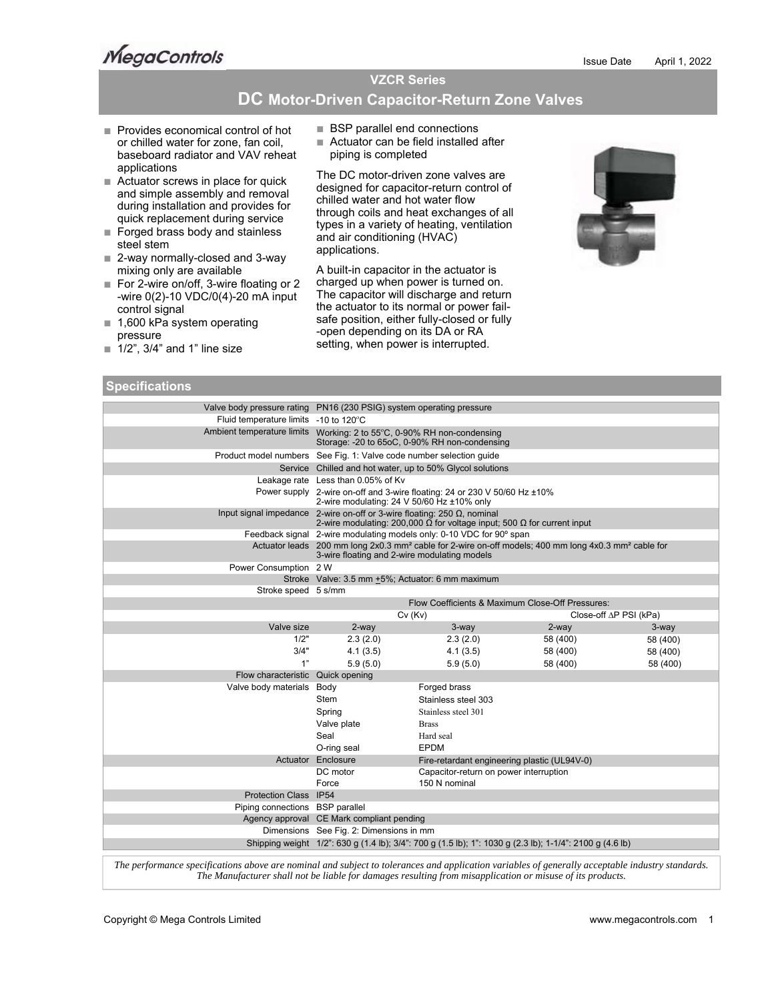**MegaControls** 

# **VZCR Series**

# **DC Motor-Driven Capacitor-Return Zone Valves**

- Provides economical control of hot or chilled water for zone, fan coil, baseboard radiator and VAV reheat applications
- Actuator screws in place for quick and simple assembly and removal during installation and provides for quick replacement during service
- Forged brass body and stainless steel stem
- 2-way normally-closed and 3-way mixing only are available
- For 2-wire on/off, 3-wire floating or 2 -wire 0(2)-10 VDC/0(4)-20 mA input control signal
- 1,600 kPa system operating pressure
- $\blacksquare$  1/2", 3/4" and 1" line size

## **Specifications**

|  | <b>BSP parallel end connections</b> |  |  |  |
|--|-------------------------------------|--|--|--|
|  |                                     |  |  |  |

■ Actuator can be field installed after piping is completed

The DC motor-driven zone valves are designed for capacitor-return control of chilled water and hot water flow through coils and heat exchanges of all types in a variety of heating, ventilation and air conditioning (HVAC) applications.

A built-in capacitor in the actuator is charged up when power is turned on. The capacitor will discharge and return the actuator to its normal or power failsafe position, either fully-closed or fully -open depending on its DA or RA setting, when power is interrupted.



| <b>Specifications</b>                                                |                                                                                                                                                                                     |                                                                     |          |                        |  |  |
|----------------------------------------------------------------------|-------------------------------------------------------------------------------------------------------------------------------------------------------------------------------------|---------------------------------------------------------------------|----------|------------------------|--|--|
| Valve body pressure rating PN16 (230 PSIG) system operating pressure |                                                                                                                                                                                     |                                                                     |          |                        |  |  |
| Fluid temperature limits -10 to 120°C                                |                                                                                                                                                                                     |                                                                     |          |                        |  |  |
|                                                                      | Ambient temperature limits  Working: 2 to 55°C, 0-90% RH non-condensing<br>Storage: -20 to 65oC, 0-90% RH non-condensing                                                            |                                                                     |          |                        |  |  |
|                                                                      |                                                                                                                                                                                     | Product model numbers See Fig. 1: Valve code number selection guide |          |                        |  |  |
|                                                                      |                                                                                                                                                                                     | Service Chilled and hot water, up to 50% Glycol solutions           |          |                        |  |  |
|                                                                      | Leakage rate Less than 0.05% of Kv                                                                                                                                                  |                                                                     |          |                        |  |  |
|                                                                      | Power supply 2-wire on-off and 3-wire floating: 24 or 230 V 50/60 Hz ±10%<br>2-wire modulating: 24 V 50/60 Hz ±10% only                                                             |                                                                     |          |                        |  |  |
|                                                                      | Input signal impedance 2-wire on-off or 3-wire floating: 250 $\Omega$ , nominal<br>2-wire modulating: 200,000 $\overline{\Omega}$ for voltage input; 500 $\Omega$ for current input |                                                                     |          |                        |  |  |
|                                                                      | Feedback signal 2-wire modulating models only: 0-10 VDC for 90° span                                                                                                                |                                                                     |          |                        |  |  |
|                                                                      | Actuator leads 200 mm long 2x0.3 mm <sup>2</sup> cable for 2-wire on-off models; 400 mm long 4x0.3 mm <sup>2</sup> cable for<br>3-wire floating and 2-wire modulating models        |                                                                     |          |                        |  |  |
| Power Consumption 2 W                                                |                                                                                                                                                                                     |                                                                     |          |                        |  |  |
|                                                                      | Stroke Valve: 3.5 mm +5%; Actuator: 6 mm maximum                                                                                                                                    |                                                                     |          |                        |  |  |
| Stroke speed 5 s/mm                                                  |                                                                                                                                                                                     |                                                                     |          |                        |  |  |
|                                                                      | Flow Coefficients & Maximum Close-Off Pressures:                                                                                                                                    |                                                                     |          |                        |  |  |
|                                                                      |                                                                                                                                                                                     | Cv(Kv)                                                              |          | Close-off AP PSI (kPa) |  |  |
| Valve size                                                           | 2-way                                                                                                                                                                               | 3-way                                                               | $2$ -way | $3$ -way               |  |  |
| 1/2"                                                                 | 2.3(2.0)                                                                                                                                                                            | 2.3(2.0)                                                            | 58 (400) | 58 (400)               |  |  |
| 3/4"                                                                 | 4.1(3.5)                                                                                                                                                                            | 4.1(3.5)                                                            | 58 (400) | 58 (400)               |  |  |
| 1"                                                                   | 5.9(5.0)<br>5.9(5.0)<br>58 (400)<br>58 (400)                                                                                                                                        |                                                                     |          |                        |  |  |
| Flow characteristic Quick opening                                    |                                                                                                                                                                                     |                                                                     |          |                        |  |  |
| Valve body materials Body                                            |                                                                                                                                                                                     | Forged brass                                                        |          |                        |  |  |
|                                                                      | Stem                                                                                                                                                                                | Stainless steel 303                                                 |          |                        |  |  |
|                                                                      | Spring                                                                                                                                                                              | Stainless steel 301                                                 |          |                        |  |  |
|                                                                      | Valve plate                                                                                                                                                                         | <b>Brass</b>                                                        |          |                        |  |  |
|                                                                      | Seal                                                                                                                                                                                | Hard seal                                                           |          |                        |  |  |
|                                                                      | O-ring seal<br><b>EPDM</b>                                                                                                                                                          |                                                                     |          |                        |  |  |
|                                                                      | Actuator Enclosure<br>Fire-retardant engineering plastic (UL94V-0)                                                                                                                  |                                                                     |          |                        |  |  |
|                                                                      | DC motor<br>Capacitor-return on power interruption                                                                                                                                  |                                                                     |          |                        |  |  |
|                                                                      | Force<br>150 N nominal                                                                                                                                                              |                                                                     |          |                        |  |  |
| Protection Class IP54                                                |                                                                                                                                                                                     |                                                                     |          |                        |  |  |
| Piping connections BSP parallel                                      |                                                                                                                                                                                     |                                                                     |          |                        |  |  |
|                                                                      | Agency approval CE Mark compliant pending                                                                                                                                           |                                                                     |          |                        |  |  |
|                                                                      | Dimensions See Fig. 2: Dimensions in mm<br>Shipping weight 1/2": 630 g (1.4 lb); 3/4": 700 g (1.5 lb); 1": 1030 g (2.3 lb); 1-1/4": 2100 g (4.6 lb)                                 |                                                                     |          |                        |  |  |
|                                                                      |                                                                                                                                                                                     |                                                                     |          |                        |  |  |

*The performance specifications above are nominal and subject to tolerances and application variables of generally acceptable industry standards. The Manufacturer shall not be liable for damages resulting from misapplication or misuse of its products.*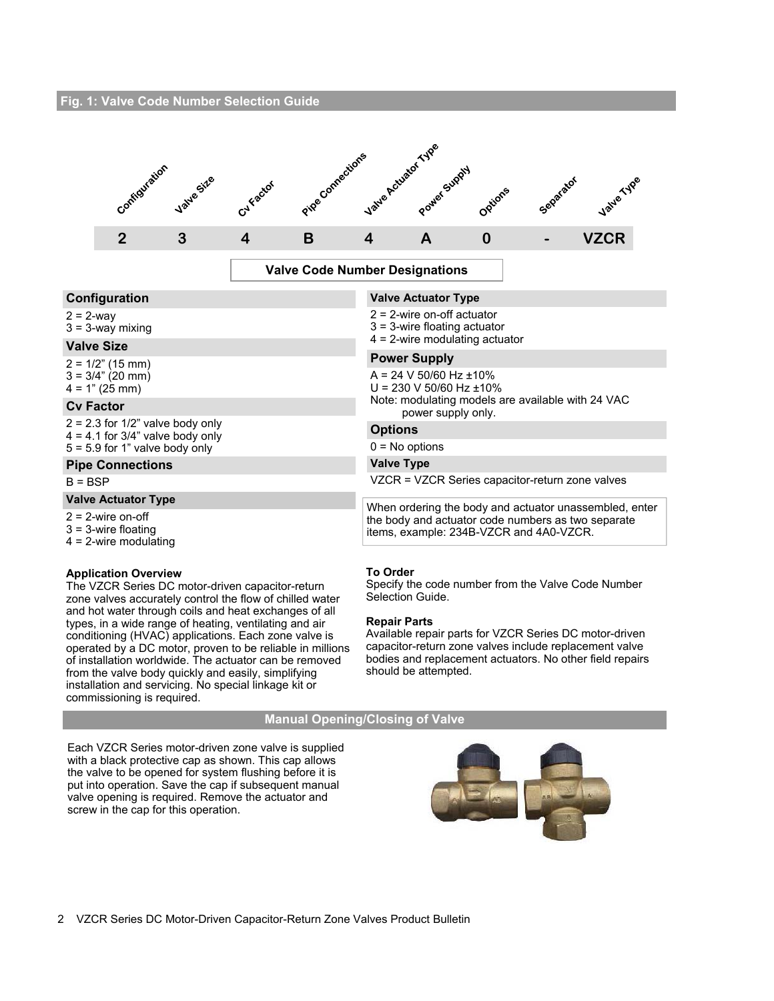### **Fig. 1: Valve Code Number Selection Guide**



**Valve Code Number Designations** 

**Valve Actuator Type**  2 = 2-wire on-off actuator 3 = 3-wire floating actuator 4 = 2-wire modulating actuator

 $A = 24 V 50/60 Hz \pm 10%$  $U = 230 V 50/60 Hz \pm 10%$ 

power supply only.

**Power Supply**

### **Configuration**

### $2 = 2$ -way

 $3 = 3$ -way mixing

### **Valve Size**

 $2 = 1/2$ " (15 mm)  $3 = 3/4" (20 mm)$  $4 = 1" (25 mm)$ 

### **Cv Factor**

 $2 = 2.3$  for  $1/2$ " valve body only  $4 = 4.1$  for  $3/4$ " valve body only 5 = 5.9 for 1" valve body only

# **Pipe Connections**

### $B = BSP$

# **Valve Actuator Type**

 $2 = 2$ -wire on-off

- 3 = 3-wire floating
- 4 = 2-wire modulating

### **Application Overview**

The VZCR Series DC motor-driven capacitor-return zone valves accurately control the flow of chilled water and hot water through coils and heat exchanges of all types, in a wide range of heating, ventilating and air conditioning (HVAC) applications. Each zone valve is operated by a DC motor, proven to be reliable in millions of installation worldwide. The actuator can be removed from the valve body quickly and easily, simplifying installation and servicing. No special linkage kit or commissioning is required.

**Options**  $0 = No$  options **Valve Type** 

**To Order** 

Specify the code number from the Valve Code Number Selection Guide.

Note: modulating models are available with 24 VAC

VZCR = VZCR Series capacitor-return zone valves

When ordering the body and actuator unassembled, enter the body and actuator code numbers as two separate

### **Repair Parts**

Available repair parts for VZCR Series DC motor-driven capacitor-return zone valves include replacement valve bodies and replacement actuators. No other field repairs should be attempted.

### **Manual Opening/Closing of Valve**

Each VZCR Series motor-driven zone valve is supplied with a black protective cap as shown. This cap allows the valve to be opened for system flushing before it is put into operation. Save the cap if subsequent manual valve opening is required. Remove the actuator and screw in the cap for this operation.



items, example: 234B-VZCR and 4A0-VZCR.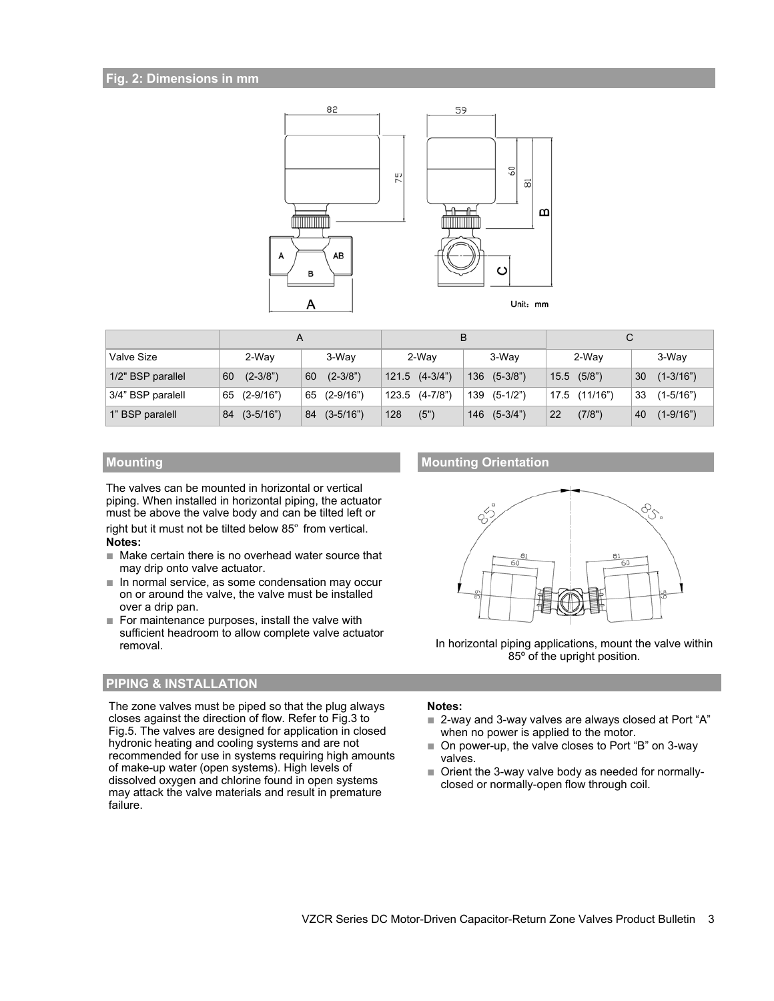### **Fig. 2: Dimensions in mm**



|                   |                   |                   |                    | B                | С               |                     |  |
|-------------------|-------------------|-------------------|--------------------|------------------|-----------------|---------------------|--|
| Valve Size        | 2-Way             | 3-Way             | 2-Way              | 3-Way            | 2-Way           | 3-Way               |  |
| 1/2" BSP parallel | $(2-3/8")$<br>60  | $(2-3/8")$<br>60  | $121.5$ $(4-3/4")$ | 136 (5-3/8")     | $15.5$ $(5/8")$ | $(1 - 3/16")$<br>30 |  |
| 3/4" BSP paralell | (2-9/16")<br>65   | 65 (2-9/16")      | 123.5 (4-7/8")     | 139 (5-1/2")     | 17.5 (11/16")   | 33<br>$(1 - 5/16")$ |  |
| 1" BSP paralell   | $(3-5/16")$<br>84 | $(3-5/16")$<br>84 | 128<br>(5")        | $146$ $(5-3/4")$ | (7/8")<br>22    | $(1 - 9/16")$<br>40 |  |

The valves can be mounted in horizontal or vertical piping. When installed in horizontal piping, the actuator must be above the valve body and can be tilted left or right but it must not be tilted below 85º from vertical. **Notes:**

- Make certain there is no overhead water source that may drip onto valve actuator.
- In normal service, as some condensation may occur on or around the valve, the valve must be installed over a drip pan.
- For maintenance purposes, install the valve with sufficient headroom to allow complete valve actuator removal.

# **PIPING & INSTALLATION**

The zone valves must be piped so that the plug always closes against the direction of flow. Refer to Fig.3 to Fig.5. The valves are designed for application in closed hydronic heating and cooling systems and are not recommended for use in systems requiring high amounts of make-up water (open systems). High levels of dissolved oxygen and chlorine found in open systems may attack the valve materials and result in premature failure.

# **Mounting Mounting Mounting Orientation**



In horizontal piping applications, mount the valve within 85º of the upright position.

### **Notes:**

- 2-way and 3-way valves are always closed at Port "A" when no power is applied to the motor.
- On power-up, the valve closes to Port "B" on 3-way valves.
- Orient the 3-way valve body as needed for normallyclosed or normally-open flow through coil.